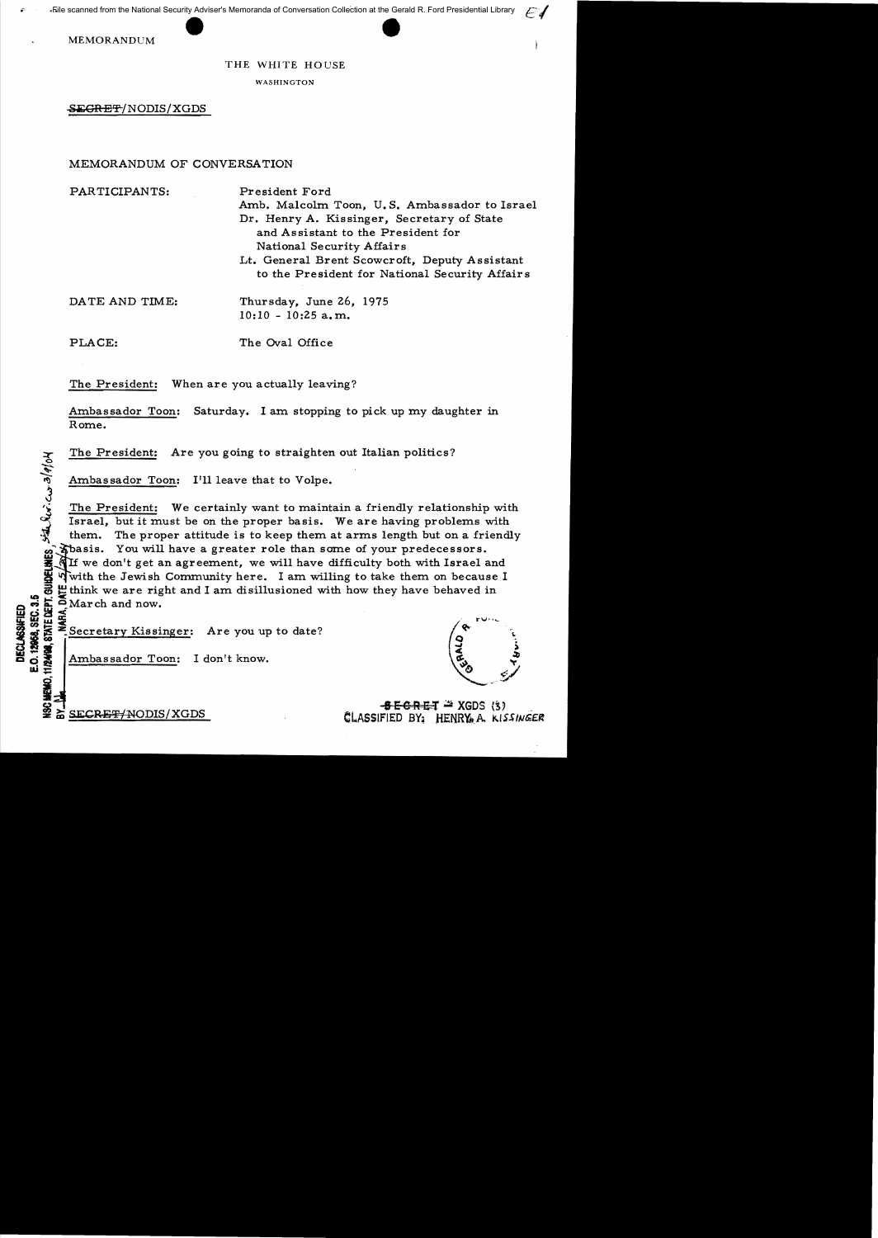MEMORANDUM



### THE WHITE HOUSE

**WASHINGTON** 

SEGRET/NODIS/XGDS

# MEMORANDUM OF CONVERSATION

PARTICIPANTS: President Ford Amb. Malcolm Toon, U. S. Ambassador to Israel Dr. Henry A. Kissinger, Secretary of State and Assistant to the President for National Security Affairs Lt. General Brent Scowcroft, Deputy Assistant to the President for National Security Affairs

| DATE AND TIME: | Thursday, June 26, 1975 |
|----------------|-------------------------|
|                | $10:10 - 10:25$ a, m,   |

PLACE: The Oval Office

The President: When are you actually leaving?

Ambassador Toon: Saturday. I am stopping to pick up my daughter in Rome.

The President: Are you going to straighten out Italian politics?

 $|b|e$ Ambassador Toon: I'll leave that to Volpe.

 $\mathfrak{z}$ The President: We certainly want to maintain a friendly relationship with Israel, but it must be on the proper basis. We are having problems with them. The proper attitude is to keep them at arms length but on a friend The proper attitude is to keep them at arms length but on a friendly Boasis. You will have a greater role than some of your predecessors.<br>
The we don't get an agreement, we will have difficulty both with Israel and with the Jewish Community here. I am willing to take them on because If we don't get an agreement, we will have difficulty both with Israel and  $\mathcal{N}$  with the Jewish Community here. I am willing to take them on because I (0 think we are right and I am disillusioned with how they have behaved in  $9.5$ . C ... C ... C ... C ... C ... C ... C ... C ... C ... C ... C ... C ... C ... C ... C ... C ... C ... C ... C .<br>C ... C ... C ... C ... C ... C ... C ... C ... C ... C ... C ... C ... Ambassador To

Secretary Kissinger: Are you up to date?

Ambassador Toon: I don't know.

SECRET/NODIS/XGDS

E.O. 12968, SEC. 3.5

 $\mathbf{m}$   $\mathbf{\Xi}$ 

 $\begin{array}{ccc}\n\vdots \\
\text{Hence}\n\end{array}$  $CLASSIFIED BY: HERY<sub>k</sub> A. KISSINEER$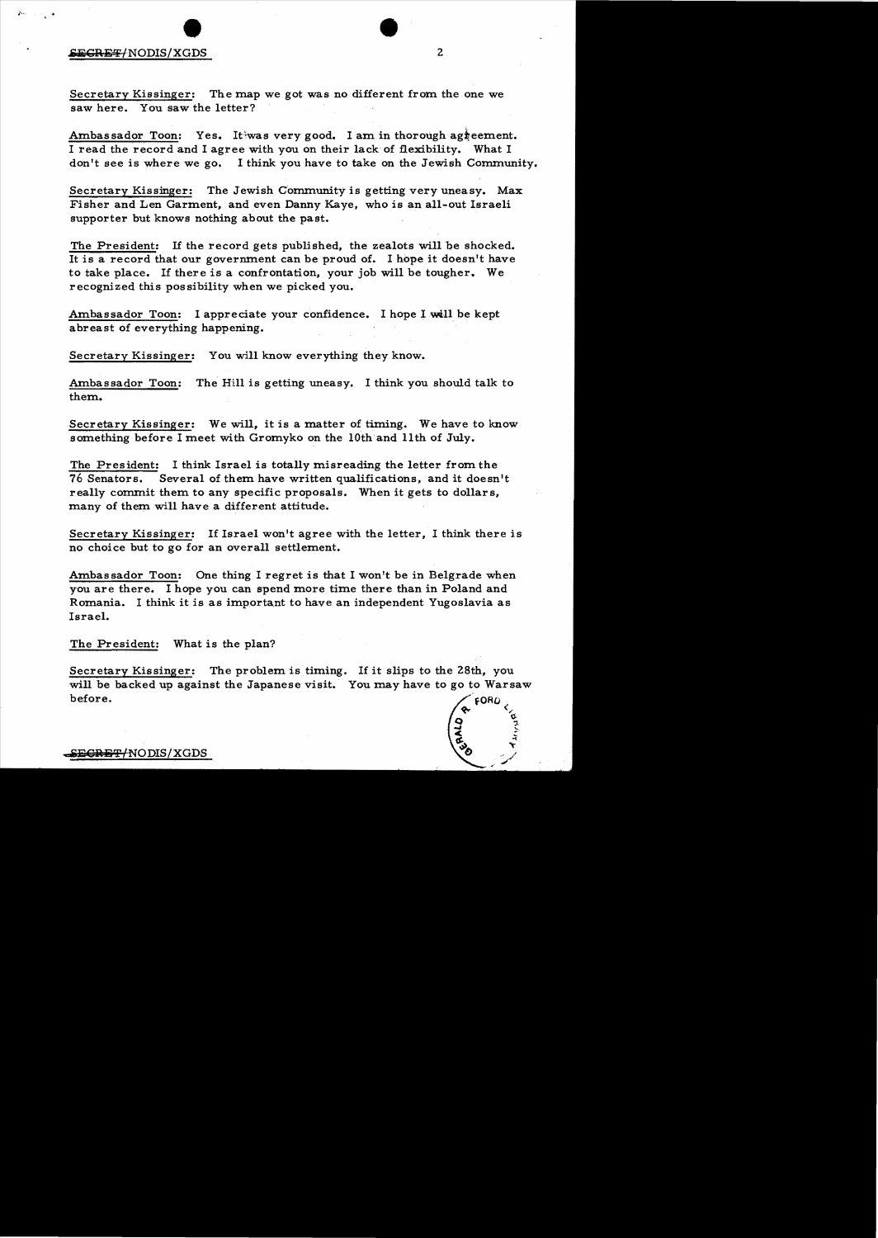## $\frac{1}{2}$

Secretary Kissinger: The map we got was no different from the one we saw here. You saw the letter?

Ambassador Toon: Yes. It was very good. I am in thorough agreement. I read the record and I agree with you on their lack of flexibility. What I don't see is where we go. I think you have to take on the Jewish Community.

Secretary Kissinger: The Jewish Community is getting very uneasy. Max Fisher and Len Garment, and even Danny Kaye, who is an all-out Israeli supporter but knows nothing about the past.

The President: If the record gets published, the zealots will be shocked. It is a record that our government can be proud of. I hope it doesn't have to take place. If there is a confrontation, your job will be tougher. We recognized this possibility when we picked you.

Ambassador Toon: I appreciate your confidence. I hope I will be kept abreast of everything happening.

Secretary Kissinger: You will know everything they know.

Ambassador Toon: The Hill is getting uneasy. I think you should talk to them.

Secretary Kissinger: We will, it is a matter of timing. We have to know something before I meet with Gromyko on the lOth and 11th of July.

The President: I think Israel is totally misreading the letter from the 76 Senators. Several of them have written qualifications, and it doesn't really commit them to any specific proposals. When it gets to dollars, many of them will have a different attitude.

Secretary Kissinger: If Israel won't agree with the letter, I think there is no choice but to go for an overall settlement.

Ambas sador Toon: One thing I regret is that I won't be in Belgrade when you are there. I hope you can spend more time there than in Poland and Romania. I think it is as important to have an independent Yugoslavia as Israel.

The President: What is the plan?

Secretary Kissinger: The problem is timing. If it slips to the 28th, you will be backed up against the Japanese visit. You may have to go to Warsaw before.

<del>SECRET/</del>NODIS/XGDS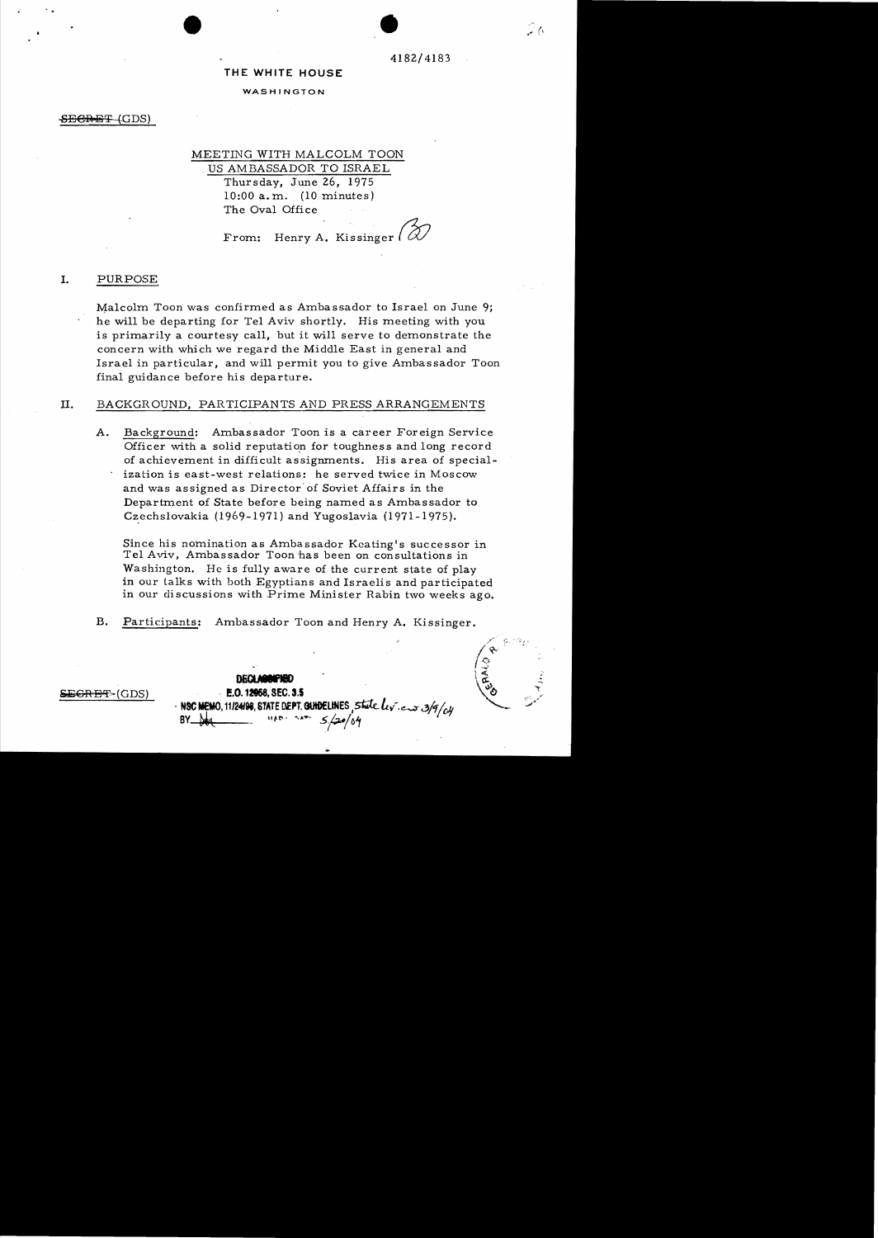#### **THE WHITE HOUSE**

#### **WASHINGTON**

#### E<del>GRET</del> (GDS)

# MEETING WITH MALCOLM TOON . US AMBASSADOR TO ISRAEL Thursday, June 26, 1975 10:00 a.m. (10 minutes) The Oval Office

From: Henry A. Kissinger

#### 1. PURPOSE

Malcolm Toon was confirmed as Ambassador to Israel on June 9; he will be departing for Tel Aviv shortly. His meeting with you is primarily a courtesy call, but it will serve to demonstrate the concern with which we regard the Middle East in general and Israel in particular, and will permit you to give Ambassador Toon final guidance before his departure.

### II. BACKGROUND, PARTICIPANTS AND PRESS ARRANGEMENTS

A. Background: Ambassador Toon is a career Foreign Service Officer with a solid reputation for toughness and long record of achievement in difficult assignments. His area of specialization is east-west relations: he served twice in Moscow and was assigned as Director of Soviet Affairs in the Department of State before being named as Ambassador to Czechslovakia (1969-1971) and Yugoslavia (1971-1975).

Since his nomination as Ambassador Keating's successor in Tel Aviv, Ambassador Toon has been on consultations in Washington. He is fully aware of the current state of play in our talks with both Egyptians and Israelis and participated in our discussions with Prime Minister Rabin two weeks ago.

B. Participants: Ambassador Toon and Henry A. Kissinger.

 $\overline{\text{GREF}}$  (GDS).

**DECLACONTIED<br>DECLACONTIED<br>0. 12058. SEC. 3.5 E.O. 12058. SEC. 3.5 NSC MEMO, 11/24198, STATE DEPT. GUNDELINES STATE Lev**  $BY$   $\frac{1}{4}$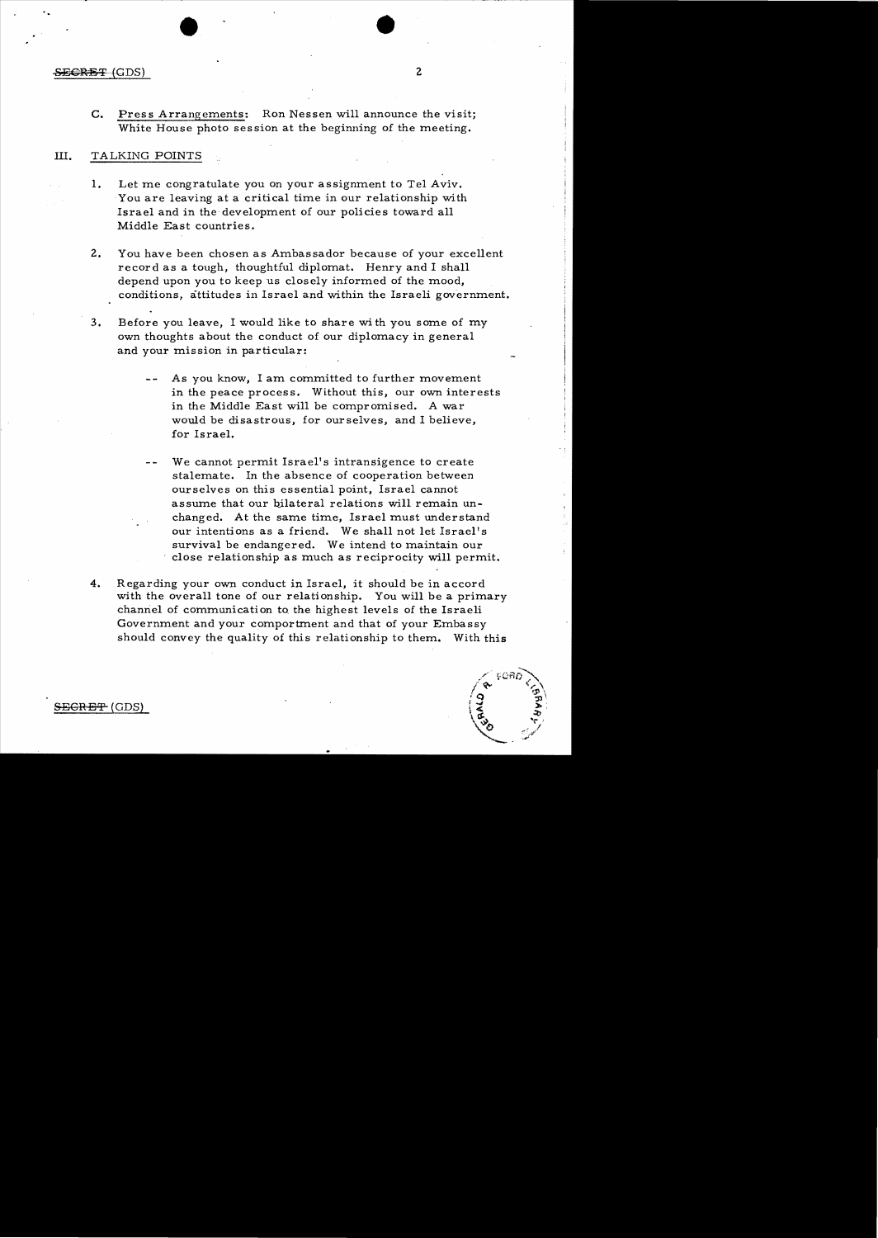## $-$ <del>SECRET</del> (GDS) 2

C. Press Arrangements: Ron Nessen will announce the visit; White House photo session at the beginning of the meeting.

## III. TALKING POINTS

- 1. Let me congratulate you on your assignment to Tel Aviv. You are leaving at a critical time in our relationship with Israel and in the development of our policies toward all Middle East countries.
- 2. You have been chosen as Ambassador because of your excellent record as a tough, thoughtful diplomat. Henry and I shall depend upon you to keep us closely informed of the mood, conditions, attitudes in Israel and within the Israeli government.
- 3. Before you leave, I would like to share wi th you some of my own thoughts about the conduct of our diplomacy in general and your mission in particular:
	- As you know, I am committed to further movement in the peace process. Without this, our own interests in the Middle East will be compromised. A war would be disastrous, for ourselves, and I believe, for Israel.
	- We cannot permit Israel's intransigence to create stalemate. In the absence of cooperation between ourselves on this essential point, Israel cannot assume that our hilateral relations will remain unchanged. At the same time, Israel must understand our intentions as a friend. We shall not let Israel's survival be endangered. We intend to maintain our close relationship as much as reciprocity will permit.
- 4. Regarding your own conduct in Israel, it should be in accord with the overall tone of our relationship. You will be a primary channel of communication to the highest levels of the Israeli Government and your comportment and that of your Embassy should convey the quality of this relationship to them. With this

<del>EGRET</del> (GDS)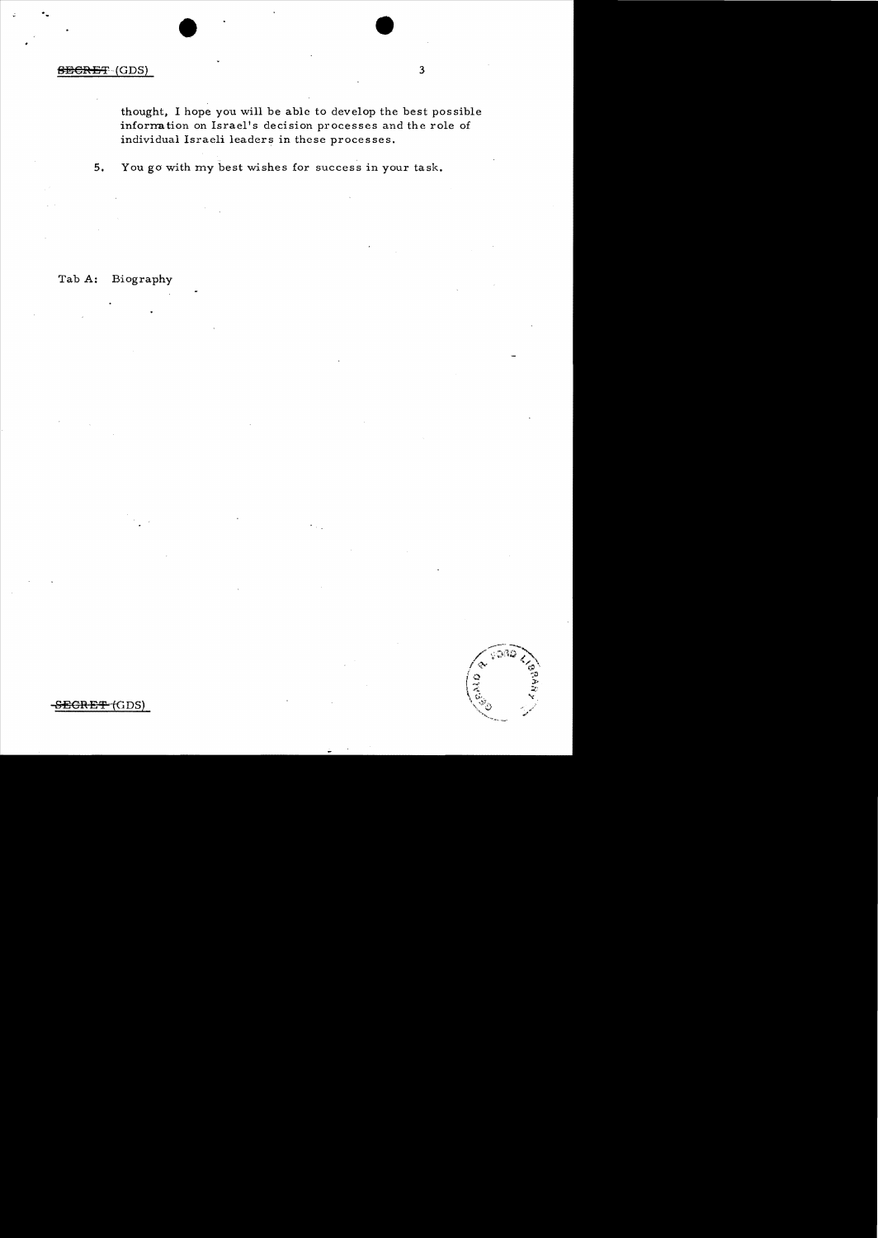".

thought, I hope you will be able to develop the best possible inforrration on Israel's decision processes and the role of individual Israeli leaders in these processes.

.<br>1980 - Paul Barnett, politik eta espainiar eta espainiar eta espainiar eta espainiar eta espainiar eta espain<br>1980 - Paul Barnett, politik eta espainiar eta espainiar eta espainiar eta espainiar eta espainiar eta espain 5. You go with my best wishes for success in your task.

# Tab A: Biography

<del>EGRET (</del>GDS)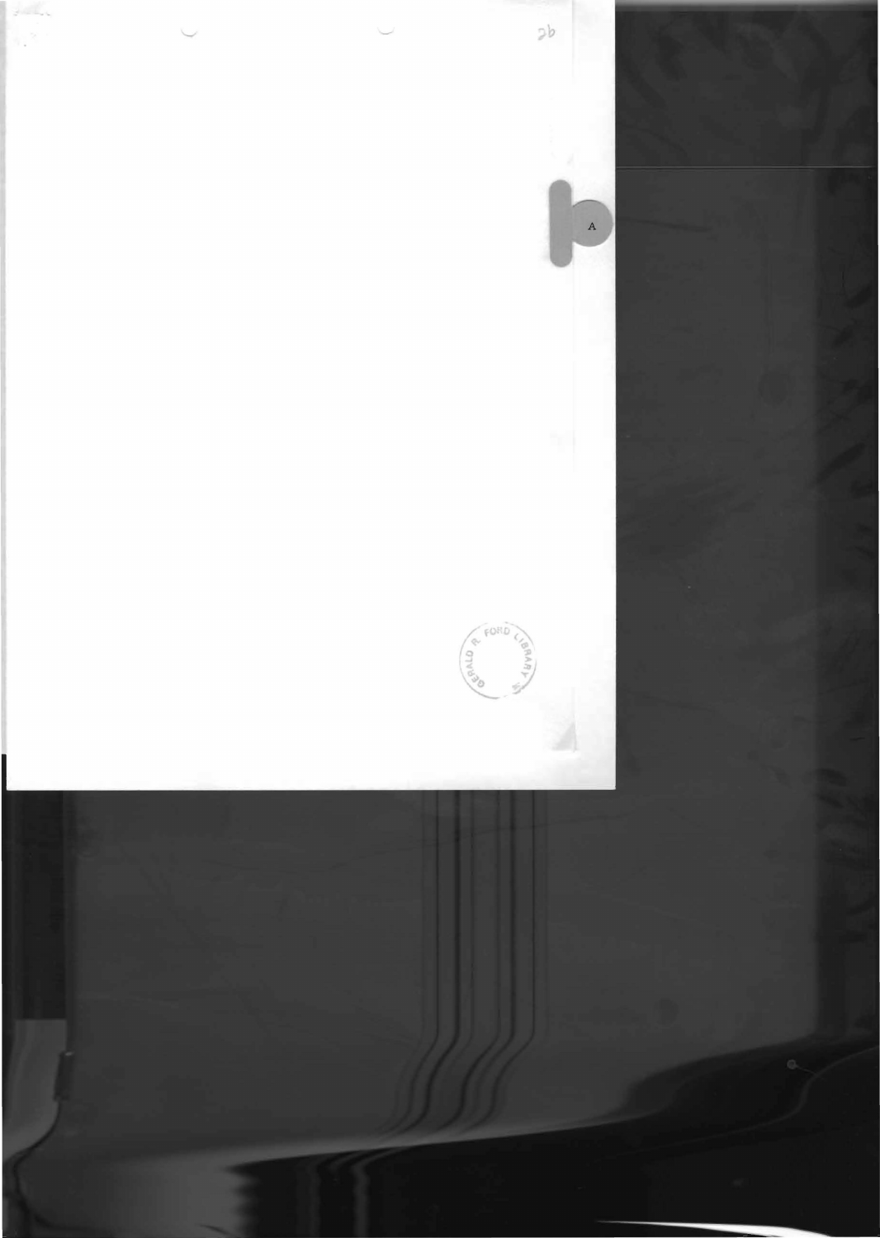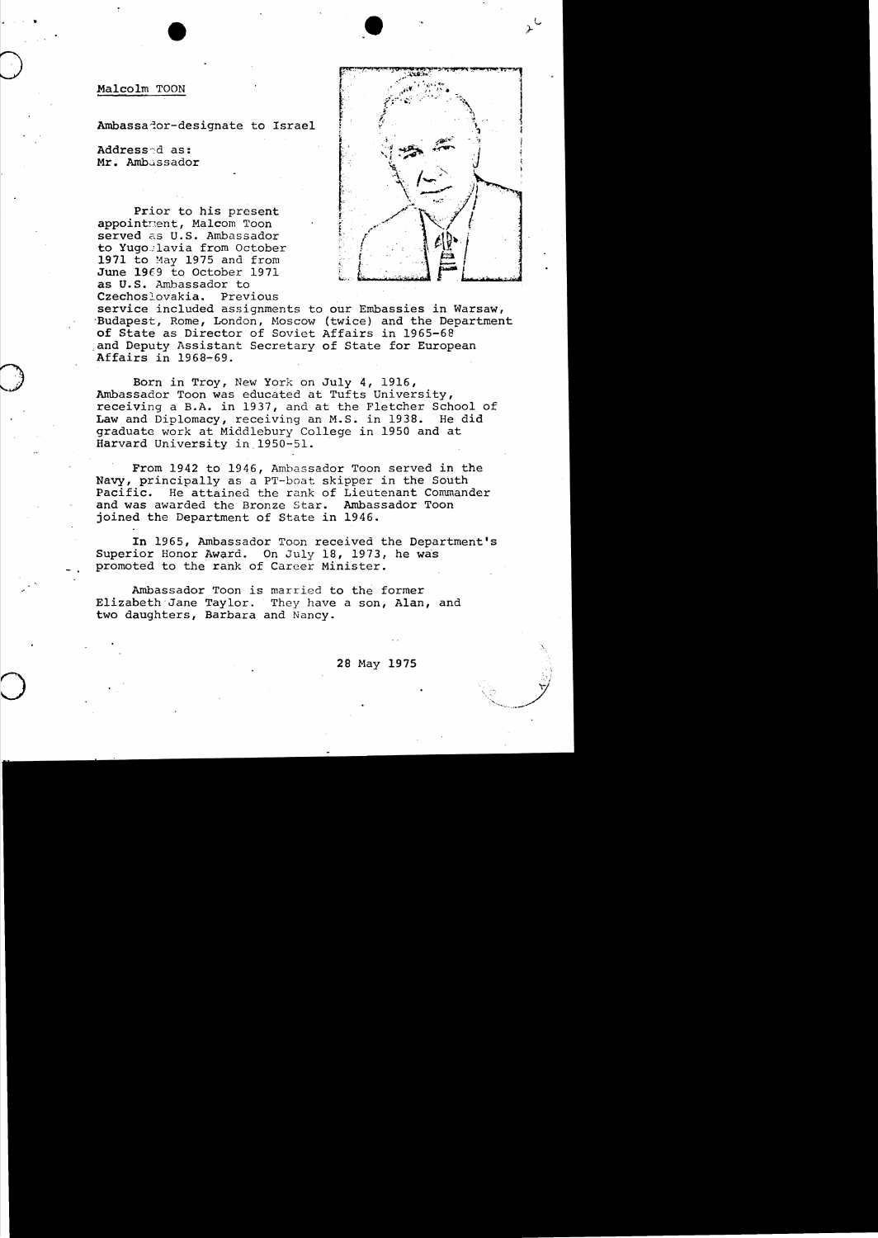# Malcolm TOON

Ambassador-designate to Israel

Addressed as: Mr. Ambassador

Prior to his present appointnent, Malcom Toon served as U.S. Ambassador to Yugo;]lavia from October 1971 to May 1975 and from June 1969 to October 1971 as u.s. Ambassador to Czechoslovakia. Previous



service included assignments to our Embassies in Warsaw, -Budapest, Rome, London, Moscow (twice) and the Department of State as Director of Soviet Affairs in 1965-68 and Deputy Assistant Secretary of State for European Affairs in 1968-69.

Born in Troy, New York on July 4, 1916, Ambassador Toon was educated at Tufts University, receiving a B.A. in 1937, and at the Fletcher School of Law and Diplomacy, receiving an M.S. in 1938. He did graduate work at Middlebury College in 1950 and at Harvard University in 1950-51.

From 1942 to 1946, Ambassador Toon served in the Navy, principally as a PT-boat skipper in the South Pacific. He attained the rank of Lieutenant Commander<br>and was awarded the Bronze Star. Ambassador Toon and was awarded the Bronze Star. joined the Department of State in 1946.

In 1965, Ambassador Toon received the Department's Superior Honor Award. On July 18, 1973, he was promoted to the rank of Career Minister.

Ambassador Toon is married to the former Elizabeth Jane Taylor. They have a son, Alan, and two daughters, Barbara and Nancy.

28 May 1975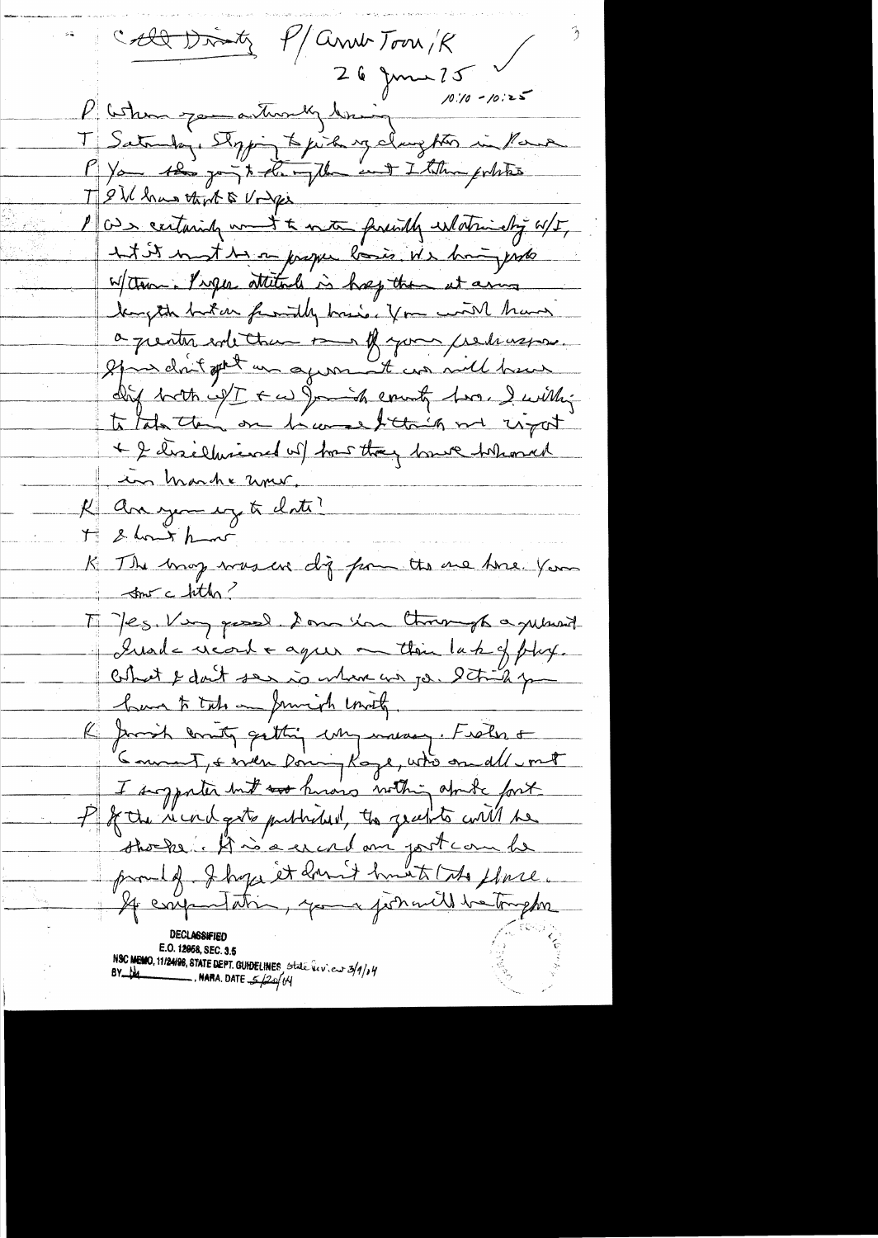Colle Dinty P/ Cent Toon /R 26 juni 25 T Saturday, etypog to picking claus this in Para You the joy to thingthe east I thing for the Tell has that & voyer POS certainly went to mote presently whatrically aft, tit it must be an proper losis . We have proto Warn, Proger attitude is hap then at any komptte but ar funnilly briss. You will have a prentir enté tous mes 19 yours predications. If indict ofthe un agross to can will have dig both w/I + w Journal door I within + I discellenced of how they bruke holmond in Marche une. K an you in to date? M & hout how K The broy was en dig for the ne hime. You sont c lith Milles, Very good. Som in though a gubert I use weak agree a thin lake of phy. cohat & don't see is where are jo. Striky burn to take a formight langthy. K Jamit county gitting usy massey. Freder of I soggerter but <del>soo knows nothing about</del> fort P & the record gets published, the zealite will be shocks to is a exceed and port come he prould Ihope et don't hunt the flace. He essipantation, your formall betonghis E.O. 12958, SEC. 3.5 NSC MEMO, 11/24/98, STATE DEPT. GUIDELINES State  $\sqrt{2}$   $\sqrt{6}$   $\sqrt{2}$   $\sqrt{6}$